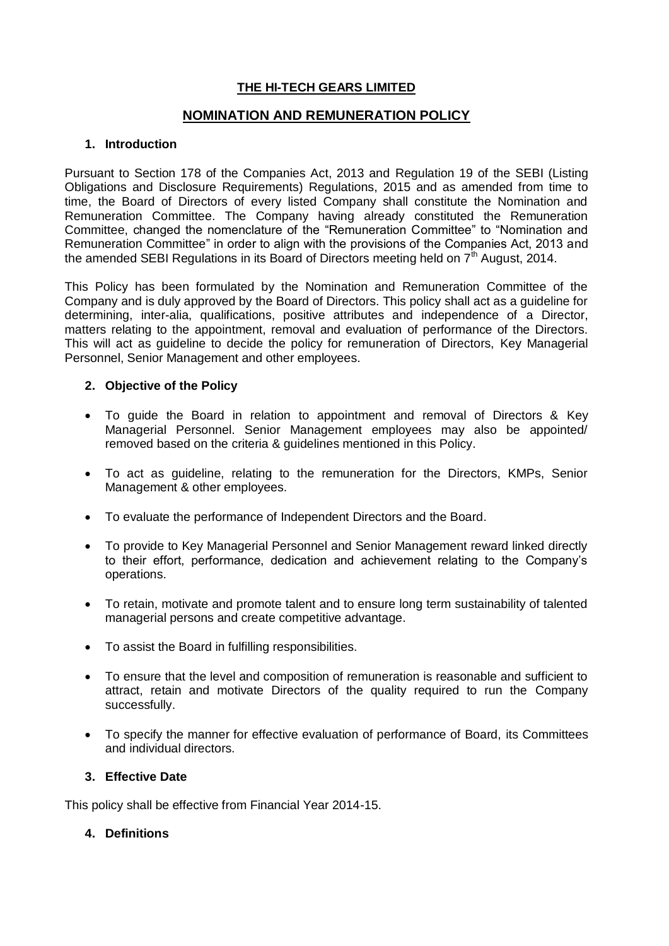# **THE HI-TECH GEARS LIMITED**

# **NOMINATION AND REMUNERATION POLICY**

## **1. Introduction**

Pursuant to Section 178 of the Companies Act, 2013 and Regulation 19 of the SEBI (Listing Obligations and Disclosure Requirements) Regulations, 2015 and as amended from time to time, the Board of Directors of every listed Company shall constitute the Nomination and Remuneration Committee. The Company having already constituted the Remuneration Committee, changed the nomenclature of the "Remuneration Committee" to "Nomination and Remuneration Committee" in order to align with the provisions of the Companies Act, 2013 and the amended SEBI Regulations in its Board of Directors meeting held on  $7<sup>th</sup>$  August, 2014.

This Policy has been formulated by the Nomination and Remuneration Committee of the Company and is duly approved by the Board of Directors. This policy shall act as a guideline for determining, inter-alia, qualifications, positive attributes and independence of a Director, matters relating to the appointment, removal and evaluation of performance of the Directors. This will act as guideline to decide the policy for remuneration of Directors, Key Managerial Personnel, Senior Management and other employees.

# **2. Objective of the Policy**

- To guide the Board in relation to appointment and removal of Directors & Key Managerial Personnel. Senior Management employees may also be appointed/ removed based on the criteria & guidelines mentioned in this Policy.
- To act as guideline, relating to the remuneration for the Directors, KMPs, Senior Management & other employees.
- To evaluate the performance of Independent Directors and the Board.
- To provide to Key Managerial Personnel and Senior Management reward linked directly to their effort, performance, dedication and achievement relating to the Company's operations.
- To retain, motivate and promote talent and to ensure long term sustainability of talented managerial persons and create competitive advantage.
- To assist the Board in fulfilling responsibilities.
- To ensure that the level and composition of remuneration is reasonable and sufficient to attract, retain and motivate Directors of the quality required to run the Company successfully.
- To specify the manner for effective evaluation of performance of Board, its Committees and individual directors.

## **3. Effective Date**

This policy shall be effective from Financial Year 2014-15.

## **4. Definitions**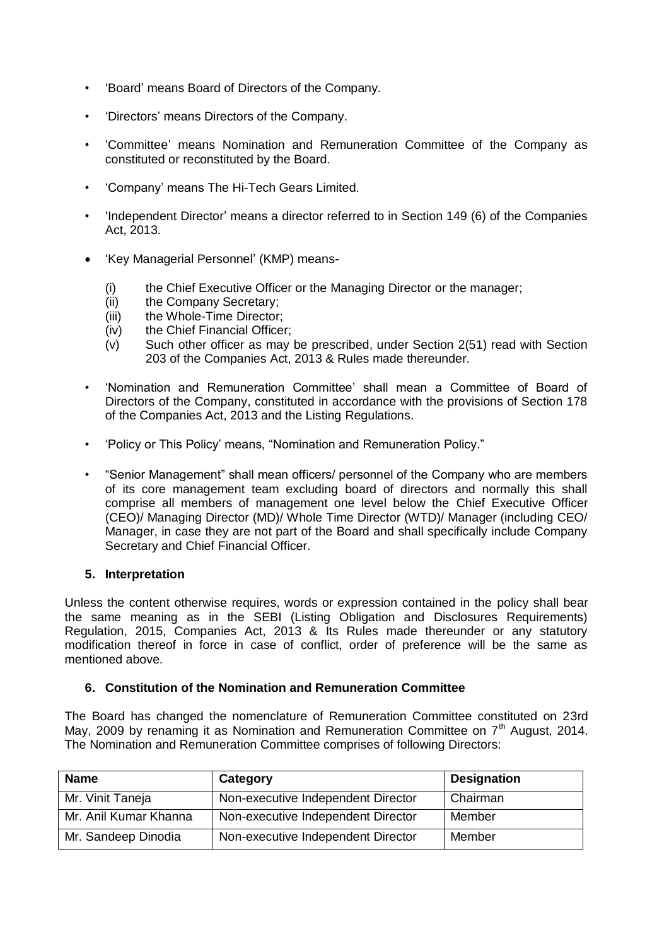- 'Board' means Board of Directors of the Company.
- 'Directors' means Directors of the Company.
- 'Committee' means Nomination and Remuneration Committee of the Company as constituted or reconstituted by the Board.
- 'Company' means The Hi-Tech Gears Limited.
- 'Independent Director' means a director referred to in Section 149 (6) of the Companies Act, 2013.
- 'Key Managerial Personnel' (KMP) means-
	- (i) the Chief Executive Officer or the Managing Director or the manager;
	- (ii) the Company Secretary;
	- (iii) the Whole-Time Director;
	- (iv) the Chief Financial Officer;
	- (v) Such other officer as may be prescribed, under Section 2(51) read with Section 203 of the Companies Act, 2013 & Rules made thereunder.
- 'Nomination and Remuneration Committee' shall mean a Committee of Board of Directors of the Company, constituted in accordance with the provisions of Section 178 of the Companies Act, 2013 and the Listing Regulations.
- 'Policy or This Policy' means, "Nomination and Remuneration Policy."
- "Senior Management" shall mean officers/ personnel of the Company who are members of its core management team excluding board of directors and normally this shall comprise all members of management one level below the Chief Executive Officer (CEO)/ Managing Director (MD)/ Whole Time Director (WTD)/ Manager (including CEO/ Manager, in case they are not part of the Board and shall specifically include Company Secretary and Chief Financial Officer.

## **5. Interpretation**

Unless the content otherwise requires, words or expression contained in the policy shall bear the same meaning as in the SEBI (Listing Obligation and Disclosures Requirements) Regulation, 2015, Companies Act, 2013 & Its Rules made thereunder or any statutory modification thereof in force in case of conflict, order of preference will be the same as mentioned above.

## **6. Constitution of the Nomination and Remuneration Committee**

The Board has changed the nomenclature of Remuneration Committee constituted on 23rd May, 2009 by renaming it as Nomination and Remuneration Committee on  $7<sup>th</sup>$  August, 2014. The Nomination and Remuneration Committee comprises of following Directors:

| <b>Name</b>           | Category                           | <b>Designation</b> |
|-----------------------|------------------------------------|--------------------|
| Mr. Vinit Taneja      | Non-executive Independent Director | Chairman           |
| Mr. Anil Kumar Khanna | Non-executive Independent Director | Member             |
| Mr. Sandeep Dinodia   | Non-executive Independent Director | Member             |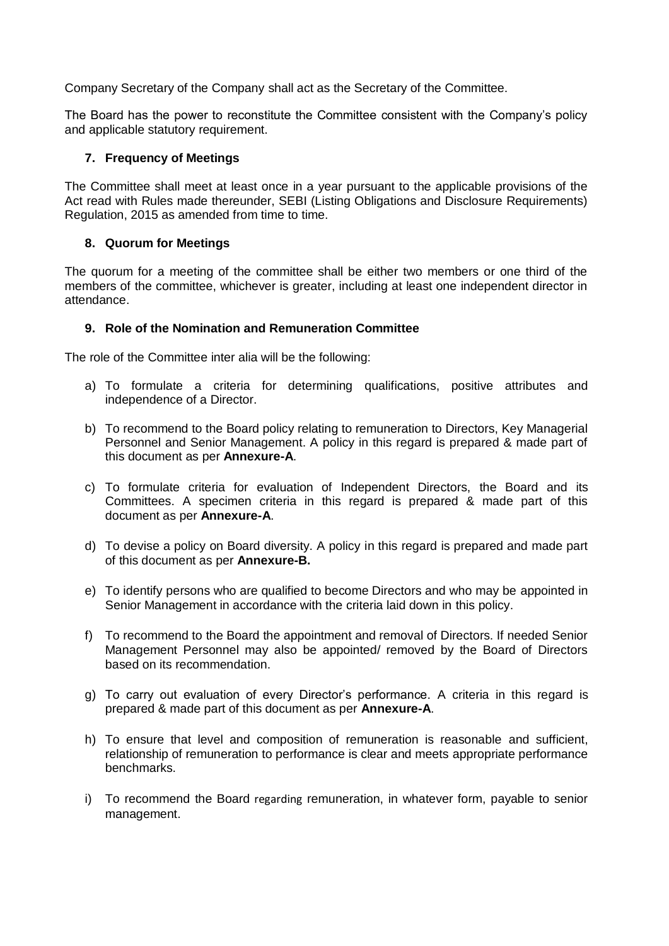Company Secretary of the Company shall act as the Secretary of the Committee.

The Board has the power to reconstitute the Committee consistent with the Company's policy and applicable statutory requirement.

#### **7. Frequency of Meetings**

The Committee shall meet at least once in a year pursuant to the applicable provisions of the Act read with Rules made thereunder, SEBI (Listing Obligations and Disclosure Requirements) Regulation, 2015 as amended from time to time.

#### **8. Quorum for Meetings**

The quorum for a meeting of the committee shall be either two members or one third of the members of the committee, whichever is greater, including at least one independent director in attendance.

#### **9. Role of the Nomination and Remuneration Committee**

The role of the Committee inter alia will be the following:

- a) To formulate a criteria for determining qualifications, positive attributes and independence of a Director.
- b) To recommend to the Board policy relating to remuneration to Directors, Key Managerial Personnel and Senior Management. A policy in this regard is prepared & made part of this document as per **Annexure-A**.
- c) To formulate criteria for evaluation of Independent Directors, the Board and its Committees. A specimen criteria in this regard is prepared & made part of this document as per **Annexure-A**.
- d) To devise a policy on Board diversity. A policy in this regard is prepared and made part of this document as per **Annexure-B.**
- e) To identify persons who are qualified to become Directors and who may be appointed in Senior Management in accordance with the criteria laid down in this policy.
- f) To recommend to the Board the appointment and removal of Directors. If needed Senior Management Personnel may also be appointed/ removed by the Board of Directors based on its recommendation.
- g) To carry out evaluation of every Director's performance. A criteria in this regard is prepared & made part of this document as per **Annexure-A**.
- h) To ensure that level and composition of remuneration is reasonable and sufficient, relationship of remuneration to performance is clear and meets appropriate performance benchmarks.
- i) To recommend the Board regarding remuneration, in whatever form, payable to senior management.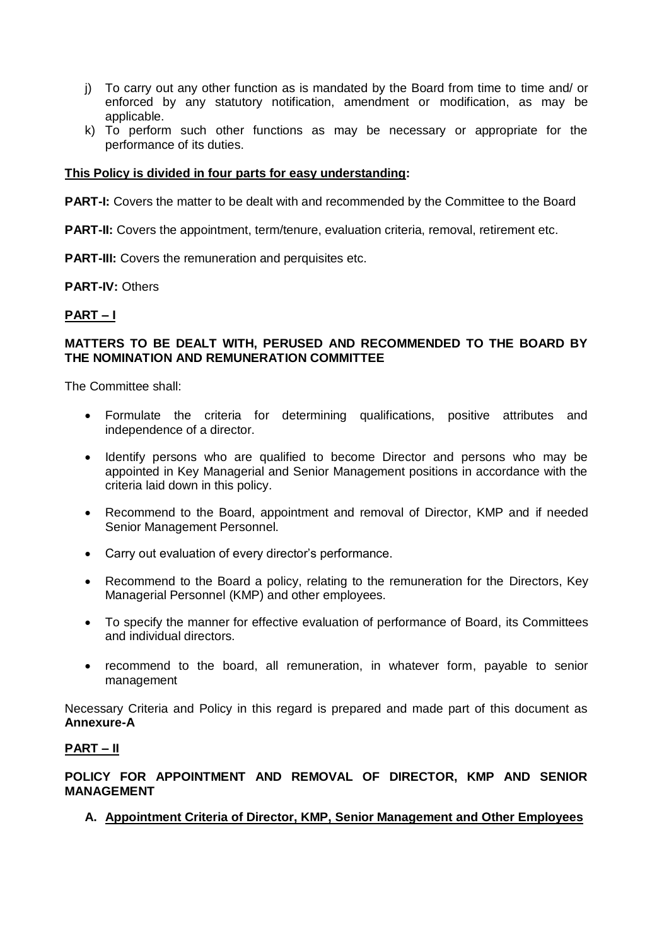- j) To carry out any other function as is mandated by the Board from time to time and/ or enforced by any statutory notification, amendment or modification, as may be applicable.
- k) To perform such other functions as may be necessary or appropriate for the performance of its duties.

#### **This Policy is divided in four parts for easy understanding:**

**PART-I:** Covers the matter to be dealt with and recommended by the Committee to the Board

**PART-II:** Covers the appointment, term/tenure, evaluation criteria, removal, retirement etc.

**PART-III:** Covers the remuneration and perquisites etc.

**PART-IV:** Others

#### **PART – I**

#### **MATTERS TO BE DEALT WITH, PERUSED AND RECOMMENDED TO THE BOARD BY THE NOMINATION AND REMUNERATION COMMITTEE**

The Committee shall:

- Formulate the criteria for determining qualifications, positive attributes and independence of a director.
- Identify persons who are qualified to become Director and persons who may be appointed in Key Managerial and Senior Management positions in accordance with the criteria laid down in this policy.
- Recommend to the Board, appointment and removal of Director, KMP and if needed Senior Management Personnel.
- Carry out evaluation of every director's performance.
- Recommend to the Board a policy, relating to the remuneration for the Directors, Key Managerial Personnel (KMP) and other employees.
- To specify the manner for effective evaluation of performance of Board, its Committees and individual directors.
- recommend to the board, all remuneration, in whatever form, payable to senior management

Necessary Criteria and Policy in this regard is prepared and made part of this document as **Annexure-A**

#### **PART – II**

**POLICY FOR APPOINTMENT AND REMOVAL OF DIRECTOR, KMP AND SENIOR MANAGEMENT** 

**A. Appointment Criteria of Director, KMP, Senior Management and Other Employees**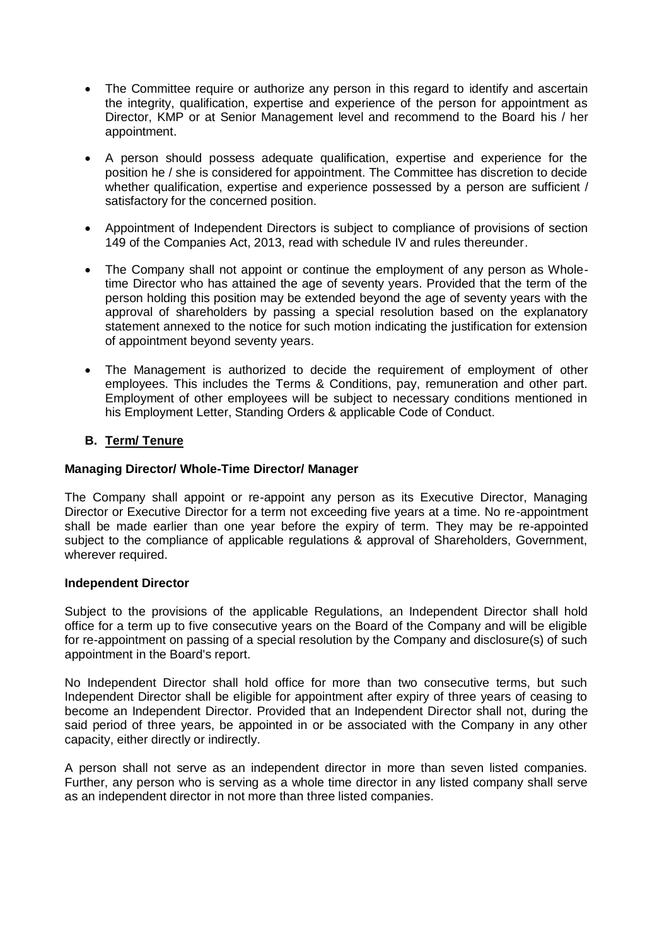- The Committee require or authorize any person in this regard to identify and ascertain the integrity, qualification, expertise and experience of the person for appointment as Director, KMP or at Senior Management level and recommend to the Board his / her appointment.
- A person should possess adequate qualification, expertise and experience for the position he / she is considered for appointment. The Committee has discretion to decide whether qualification, expertise and experience possessed by a person are sufficient / satisfactory for the concerned position.
- Appointment of Independent Directors is subject to compliance of provisions of section 149 of the Companies Act, 2013, read with schedule IV and rules thereunder.
- The Company shall not appoint or continue the employment of any person as Wholetime Director who has attained the age of seventy years. Provided that the term of the person holding this position may be extended beyond the age of seventy years with the approval of shareholders by passing a special resolution based on the explanatory statement annexed to the notice for such motion indicating the justification for extension of appointment beyond seventy years.
- The Management is authorized to decide the requirement of employment of other employees. This includes the Terms & Conditions, pay, remuneration and other part. Employment of other employees will be subject to necessary conditions mentioned in his Employment Letter, Standing Orders & applicable Code of Conduct.

# **B. Term/ Tenure**

## **Managing Director/ Whole-Time Director/ Manager**

The Company shall appoint or re-appoint any person as its Executive Director, Managing Director or Executive Director for a term not exceeding five years at a time. No re-appointment shall be made earlier than one year before the expiry of term. They may be re-appointed subject to the compliance of applicable regulations & approval of Shareholders, Government, wherever required.

## **Independent Director**

Subject to the provisions of the applicable Regulations, an Independent Director shall hold office for a term up to five consecutive years on the Board of the Company and will be eligible for re-appointment on passing of a special resolution by the Company and disclosure(s) of such appointment in the Board's report.

No Independent Director shall hold office for more than two consecutive terms, but such Independent Director shall be eligible for appointment after expiry of three years of ceasing to become an Independent Director. Provided that an Independent Director shall not, during the said period of three years, be appointed in or be associated with the Company in any other capacity, either directly or indirectly.

A person shall not serve as an independent director in more than seven listed companies. Further, any person who is serving as a whole time director in any listed company shall serve as an independent director in not more than three listed companies.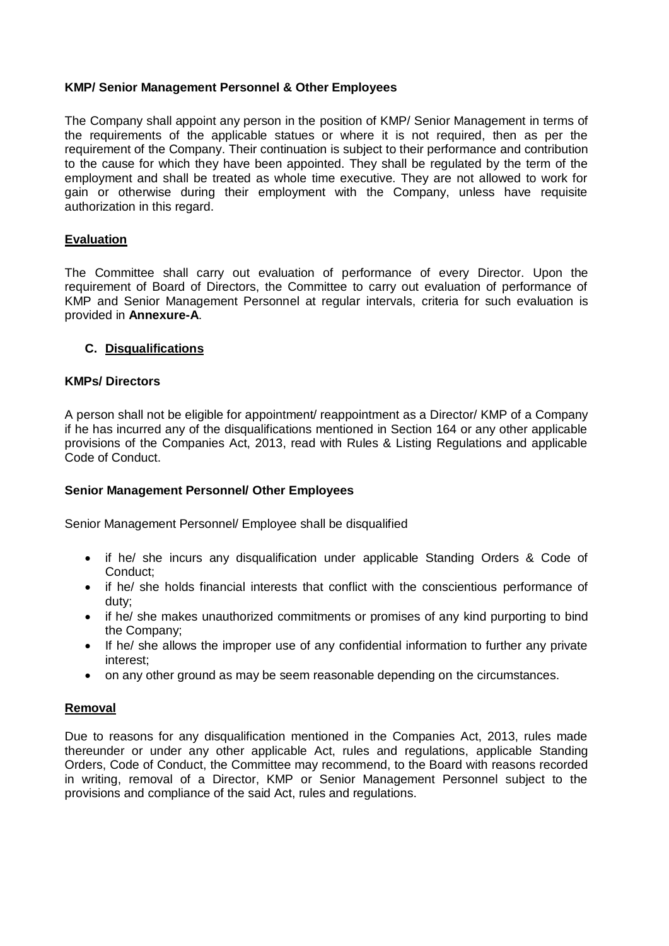# **KMP/ Senior Management Personnel & Other Employees**

The Company shall appoint any person in the position of KMP/ Senior Management in terms of the requirements of the applicable statues or where it is not required, then as per the requirement of the Company. Their continuation is subject to their performance and contribution to the cause for which they have been appointed. They shall be regulated by the term of the employment and shall be treated as whole time executive. They are not allowed to work for gain or otherwise during their employment with the Company, unless have requisite authorization in this regard.

# **Evaluation**

The Committee shall carry out evaluation of performance of every Director. Upon the requirement of Board of Directors, the Committee to carry out evaluation of performance of KMP and Senior Management Personnel at regular intervals, criteria for such evaluation is provided in **Annexure-A**.

## **C. Disqualifications**

## **KMPs/ Directors**

A person shall not be eligible for appointment/ reappointment as a Director/ KMP of a Company if he has incurred any of the disqualifications mentioned in Section 164 or any other applicable provisions of the Companies Act, 2013, read with Rules & Listing Regulations and applicable Code of Conduct.

## **Senior Management Personnel/ Other Employees**

Senior Management Personnel/ Employee shall be disqualified

- if he/ she incurs any disqualification under applicable Standing Orders & Code of Conduct;
- if he/ she holds financial interests that conflict with the conscientious performance of duty;
- if he/ she makes unauthorized commitments or promises of any kind purporting to bind the Company;
- If he/ she allows the improper use of any confidential information to further any private interest;
- on any other ground as may be seem reasonable depending on the circumstances.

## **Removal**

Due to reasons for any disqualification mentioned in the Companies Act, 2013, rules made thereunder or under any other applicable Act, rules and regulations, applicable Standing Orders, Code of Conduct, the Committee may recommend, to the Board with reasons recorded in writing, removal of a Director, KMP or Senior Management Personnel subject to the provisions and compliance of the said Act, rules and regulations.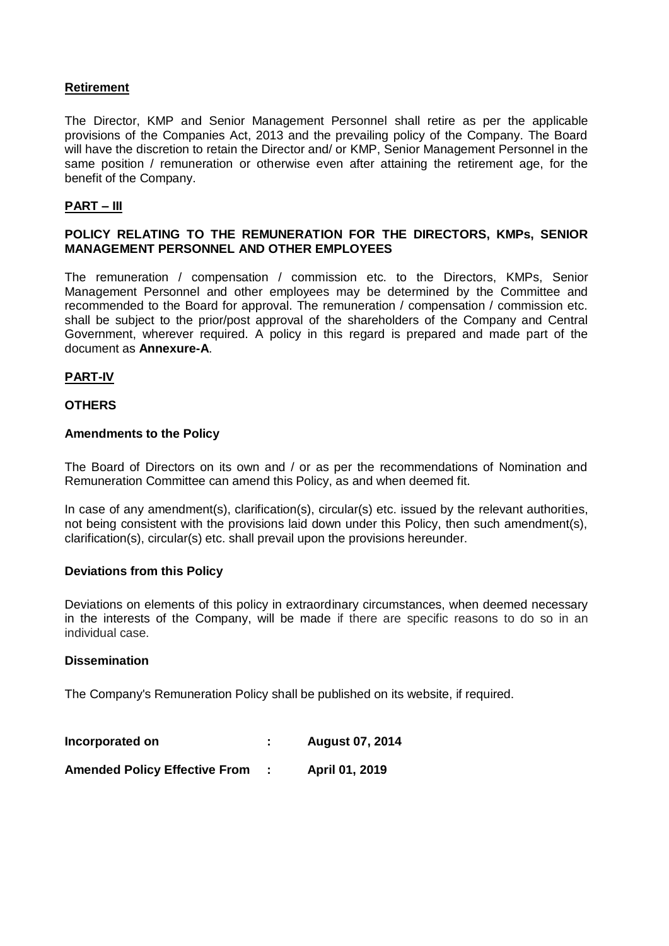# **Retirement**

The Director, KMP and Senior Management Personnel shall retire as per the applicable provisions of the Companies Act, 2013 and the prevailing policy of the Company. The Board will have the discretion to retain the Director and/ or KMP, Senior Management Personnel in the same position / remuneration or otherwise even after attaining the retirement age, for the benefit of the Company.

# **PART – III**

#### **POLICY RELATING TO THE REMUNERATION FOR THE DIRECTORS, KMPs, SENIOR MANAGEMENT PERSONNEL AND OTHER EMPLOYEES**

The remuneration / compensation / commission etc. to the Directors, KMPs, Senior Management Personnel and other employees may be determined by the Committee and recommended to the Board for approval. The remuneration / compensation / commission etc. shall be subject to the prior/post approval of the shareholders of the Company and Central Government, wherever required. A policy in this regard is prepared and made part of the document as **Annexure-A**.

## **PART-IV**

#### **OTHERS**

#### **Amendments to the Policy**

The Board of Directors on its own and / or as per the recommendations of Nomination and Remuneration Committee can amend this Policy, as and when deemed fit.

In case of any amendment(s), clarification(s), circular(s) etc. issued by the relevant authorities, not being consistent with the provisions laid down under this Policy, then such amendment(s), clarification(s), circular(s) etc. shall prevail upon the provisions hereunder.

#### **Deviations from this Policy**

Deviations on elements of this policy in extraordinary circumstances, when deemed necessary in the interests of the Company, will be made if there are specific reasons to do so in an individual case.

#### **Dissemination**

The Company's Remuneration Policy shall be published on its website, if required.

| Incorporated on                      | <b>August 07, 2014</b> |
|--------------------------------------|------------------------|
| <b>Amended Policy Effective From</b> | April 01, 2019         |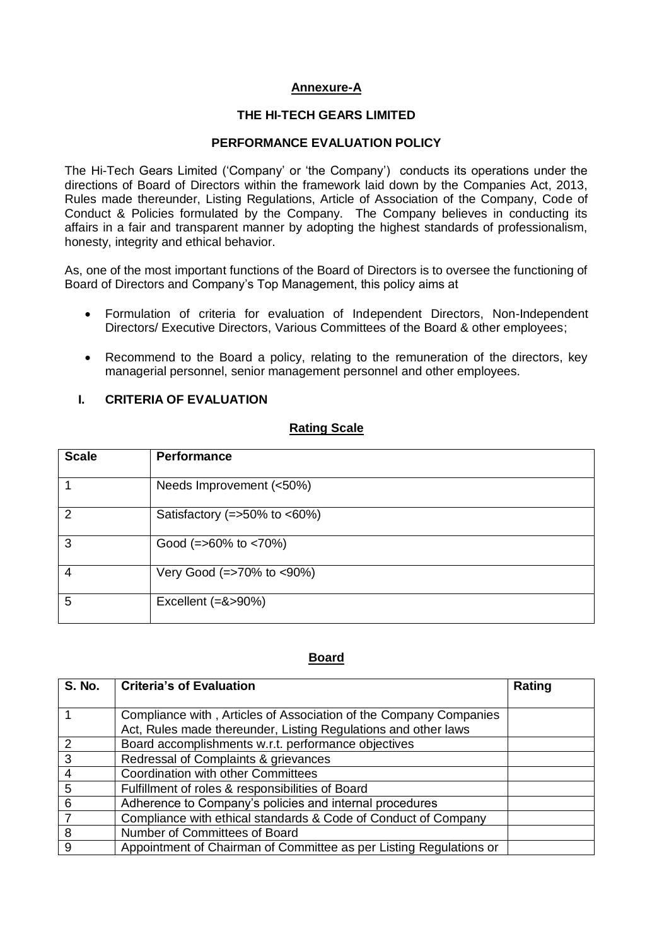# **Annexure-A**

#### **THE HI-TECH GEARS LIMITED**

#### **PERFORMANCE EVALUATION POLICY**

The Hi-Tech Gears Limited ('Company' or 'the Company') conducts its operations under the directions of Board of Directors within the framework laid down by the Companies Act, 2013, Rules made thereunder, Listing Regulations, Article of Association of the Company, Code of Conduct & Policies formulated by the Company. The Company believes in conducting its affairs in a fair and transparent manner by adopting the highest standards of professionalism, honesty, integrity and ethical behavior.

As, one of the most important functions of the Board of Directors is to oversee the functioning of Board of Directors and Company's Top Management, this policy aims at

- Formulation of criteria for evaluation of Independent Directors, Non-Independent Directors/ Executive Directors, Various Committees of the Board & other employees;
- Recommend to the Board a policy, relating to the remuneration of the directors, key managerial personnel, senior management personnel and other employees.

## **I. CRITERIA OF EVALUATION**

#### **Rating Scale**

| <b>Scale</b>   | <b>Performance</b>                |
|----------------|-----------------------------------|
|                | Needs Improvement (<50%)          |
| $\mathcal{P}$  | Satisfactory ( $=$ >50% to <60%)  |
| 3              | Good $(=>60\% \text{ to } <70\%)$ |
| $\overline{4}$ | Very Good (=>70% to <90%)         |
| 5              | Excellent $(=\>90\%)$             |

#### **Board**

| <b>S. No.</b> | <b>Criteria's of Evaluation</b>                                                                                                     | Rating |
|---------------|-------------------------------------------------------------------------------------------------------------------------------------|--------|
|               | Compliance with, Articles of Association of the Company Companies<br>Act, Rules made thereunder, Listing Regulations and other laws |        |
|               | Board accomplishments w.r.t. performance objectives                                                                                 |        |
| 3             | Redressal of Complaints & grievances                                                                                                |        |
|               | <b>Coordination with other Committees</b>                                                                                           |        |
| 5             | Fulfillment of roles & responsibilities of Board                                                                                    |        |
| 6             | Adherence to Company's policies and internal procedures                                                                             |        |
|               | Compliance with ethical standards & Code of Conduct of Company                                                                      |        |
| 8             | Number of Committees of Board                                                                                                       |        |
| 9             | Appointment of Chairman of Committee as per Listing Regulations or                                                                  |        |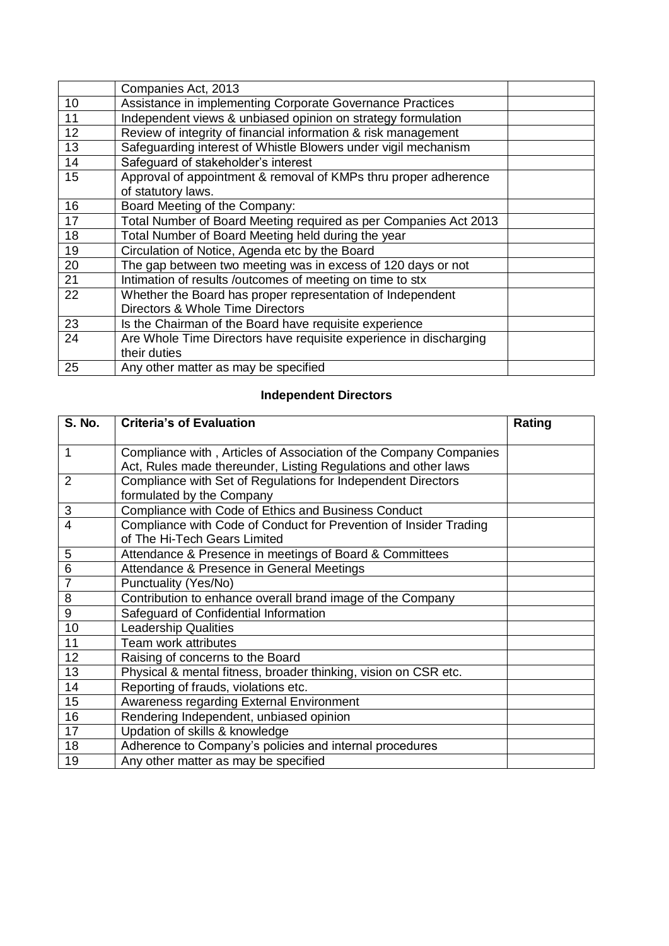|    | Companies Act, 2013                                               |  |
|----|-------------------------------------------------------------------|--|
| 10 | Assistance in implementing Corporate Governance Practices         |  |
| 11 | Independent views & unbiased opinion on strategy formulation      |  |
| 12 | Review of integrity of financial information & risk management    |  |
| 13 | Safeguarding interest of Whistle Blowers under vigil mechanism    |  |
| 14 | Safeguard of stakeholder's interest                               |  |
| 15 | Approval of appointment & removal of KMPs thru proper adherence   |  |
|    | of statutory laws.                                                |  |
| 16 | Board Meeting of the Company:                                     |  |
| 17 | Total Number of Board Meeting required as per Companies Act 2013  |  |
| 18 | Total Number of Board Meeting held during the year                |  |
| 19 | Circulation of Notice, Agenda etc by the Board                    |  |
| 20 | The gap between two meeting was in excess of 120 days or not      |  |
| 21 | Intimation of results /outcomes of meeting on time to stx         |  |
| 22 | Whether the Board has proper representation of Independent        |  |
|    | Directors & Whole Time Directors                                  |  |
| 23 | Is the Chairman of the Board have requisite experience            |  |
| 24 | Are Whole Time Directors have requisite experience in discharging |  |
|    | their duties                                                      |  |
| 25 | Any other matter as may be specified                              |  |

# **Independent Directors**

| <b>S. No.</b>  | <b>Criteria's of Evaluation</b>                                   | Rating |
|----------------|-------------------------------------------------------------------|--------|
|                |                                                                   |        |
| 1              | Compliance with, Articles of Association of the Company Companies |        |
|                | Act, Rules made thereunder, Listing Regulations and other laws    |        |
| $\overline{2}$ | Compliance with Set of Regulations for Independent Directors      |        |
|                | formulated by the Company                                         |        |
| 3              | Compliance with Code of Ethics and Business Conduct               |        |
| 4              | Compliance with Code of Conduct for Prevention of Insider Trading |        |
|                | of The Hi-Tech Gears Limited                                      |        |
| 5              | Attendance & Presence in meetings of Board & Committees           |        |
| 6              | Attendance & Presence in General Meetings                         |        |
| $\overline{7}$ | Punctuality (Yes/No)                                              |        |
| 8              | Contribution to enhance overall brand image of the Company        |        |
| 9              | Safeguard of Confidential Information                             |        |
| 10             | <b>Leadership Qualities</b>                                       |        |
| 11             | Team work attributes                                              |        |
| 12             | Raising of concerns to the Board                                  |        |
| 13             | Physical & mental fitness, broader thinking, vision on CSR etc.   |        |
| 14             | Reporting of frauds, violations etc.                              |        |
| 15             | Awareness regarding External Environment                          |        |
| 16             | Rendering Independent, unbiased opinion                           |        |
| 17             | Updation of skills & knowledge                                    |        |
| 18             | Adherence to Company's policies and internal procedures           |        |
| 19             | Any other matter as may be specified                              |        |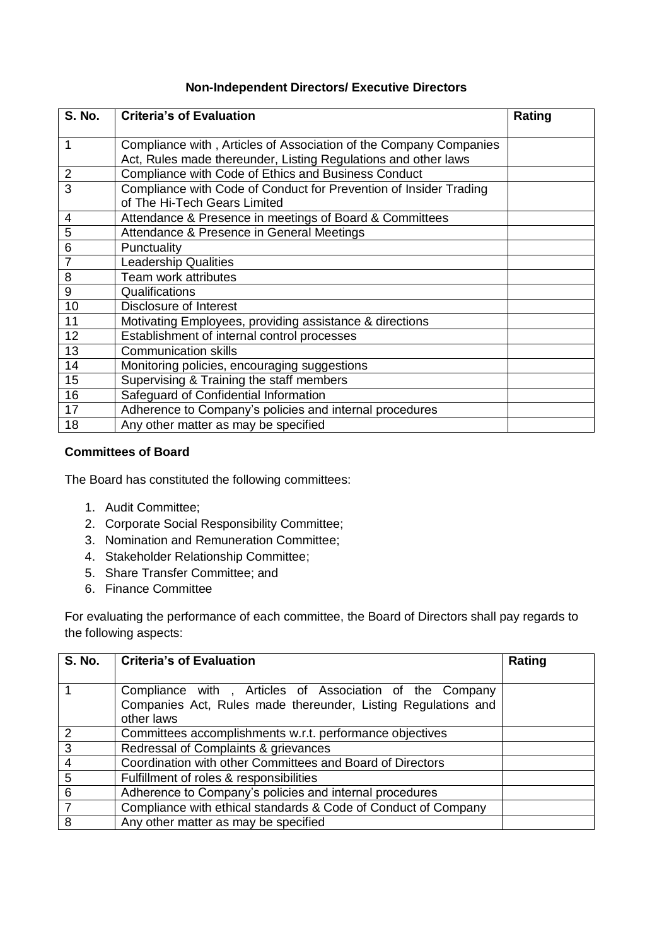# **Non-Independent Directors/ Executive Directors**

| <b>S. No.</b>  | <b>Criteria's of Evaluation</b>                                                                                                     | Rating |
|----------------|-------------------------------------------------------------------------------------------------------------------------------------|--------|
| $\mathbf{1}$   | Compliance with, Articles of Association of the Company Companies<br>Act, Rules made thereunder, Listing Regulations and other laws |        |
| $\overline{2}$ | Compliance with Code of Ethics and Business Conduct                                                                                 |        |
| $\overline{3}$ | Compliance with Code of Conduct for Prevention of Insider Trading<br>of The Hi-Tech Gears Limited                                   |        |
| 4              | Attendance & Presence in meetings of Board & Committees                                                                             |        |
| 5              | Attendance & Presence in General Meetings                                                                                           |        |
| 6              | Punctuality                                                                                                                         |        |
| $\overline{7}$ | <b>Leadership Qualities</b>                                                                                                         |        |
| 8              | Team work attributes                                                                                                                |        |
| 9              | Qualifications                                                                                                                      |        |
| 10             | Disclosure of Interest                                                                                                              |        |
| 11             | Motivating Employees, providing assistance & directions                                                                             |        |
| 12             | Establishment of internal control processes                                                                                         |        |
| 13             | <b>Communication skills</b>                                                                                                         |        |
| 14             | Monitoring policies, encouraging suggestions                                                                                        |        |
| 15             | Supervising & Training the staff members                                                                                            |        |
| 16             | Safeguard of Confidential Information                                                                                               |        |
| 17             | Adherence to Company's policies and internal procedures                                                                             |        |
| 18             | Any other matter as may be specified                                                                                                |        |

# **Committees of Board**

The Board has constituted the following committees:

- 1. Audit Committee;
- 2. Corporate Social Responsibility Committee;
- 3. Nomination and Remuneration Committee;
- 4. Stakeholder Relationship Committee;
- 5. Share Transfer Committee; and
- 6. Finance Committee

For evaluating the performance of each committee, the Board of Directors shall pay regards to the following aspects:

| S. No.         | <b>Criteria's of Evaluation</b>                                | Rating |
|----------------|----------------------------------------------------------------|--------|
|                |                                                                |        |
|                | Compliance with, Articles of Association of the Company        |        |
|                | Companies Act, Rules made thereunder, Listing Regulations and  |        |
|                | other laws                                                     |        |
| $\overline{2}$ | Committees accomplishments w.r.t. performance objectives       |        |
| 3              | Redressal of Complaints & grievances                           |        |
|                | Coordination with other Committees and Board of Directors      |        |
| 5              | Fulfillment of roles & responsibilities                        |        |
| 6              | Adherence to Company's policies and internal procedures        |        |
| 7              | Compliance with ethical standards & Code of Conduct of Company |        |
| 8              | Any other matter as may be specified                           |        |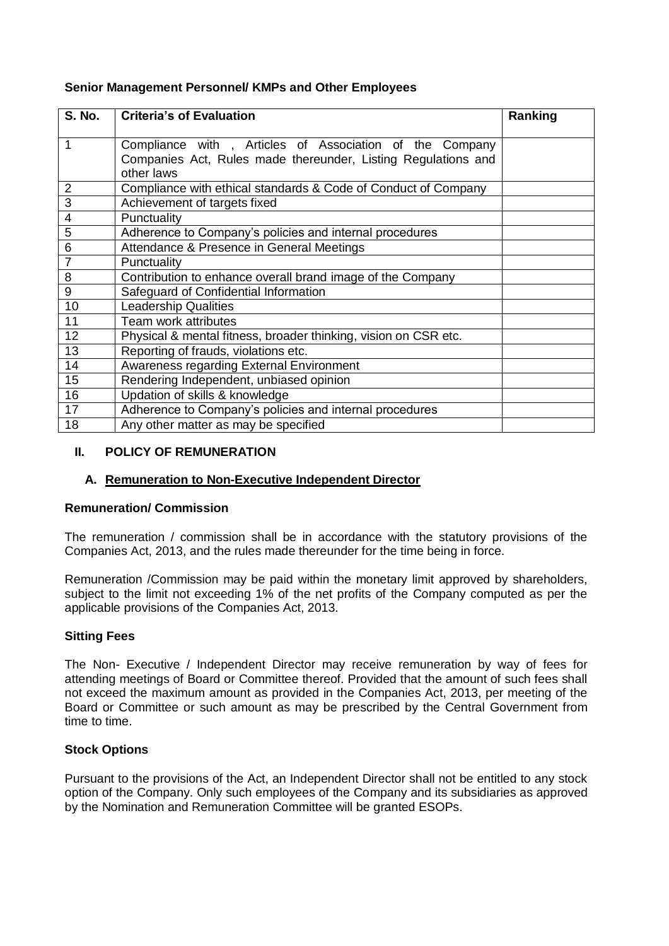# **Senior Management Personnel/ KMPs and Other Employees**

| <b>S. No.</b>   | <b>Criteria's of Evaluation</b>                                                                                                        | Ranking |
|-----------------|----------------------------------------------------------------------------------------------------------------------------------------|---------|
| 1               | Compliance with, Articles of Association of the Company<br>Companies Act, Rules made thereunder, Listing Regulations and<br>other laws |         |
| $\overline{2}$  | Compliance with ethical standards & Code of Conduct of Company                                                                         |         |
| $\overline{3}$  | Achievement of targets fixed                                                                                                           |         |
| $\overline{4}$  | Punctuality                                                                                                                            |         |
| $\overline{5}$  | Adherence to Company's policies and internal procedures                                                                                |         |
| $6\phantom{1}6$ | Attendance & Presence in General Meetings                                                                                              |         |
| $\overline{7}$  | Punctuality                                                                                                                            |         |
| 8               | Contribution to enhance overall brand image of the Company                                                                             |         |
| 9               | Safeguard of Confidential Information                                                                                                  |         |
| 10              | <b>Leadership Qualities</b>                                                                                                            |         |
| 11              | Team work attributes                                                                                                                   |         |
| 12              | Physical & mental fitness, broader thinking, vision on CSR etc.                                                                        |         |
| 13              | Reporting of frauds, violations etc.                                                                                                   |         |
| 14              | Awareness regarding External Environment                                                                                               |         |
| 15              | Rendering Independent, unbiased opinion                                                                                                |         |
| 16              | Updation of skills & knowledge                                                                                                         |         |
| 17              | Adherence to Company's policies and internal procedures                                                                                |         |
| 18              | Any other matter as may be specified                                                                                                   |         |

# **II. POLICY OF REMUNERATION**

# **A. Remuneration to Non-Executive Independent Director**

## **Remuneration/ Commission**

The remuneration / commission shall be in accordance with the statutory provisions of the Companies Act, 2013, and the rules made thereunder for the time being in force.

Remuneration /Commission may be paid within the monetary limit approved by shareholders, subject to the limit not exceeding 1% of the net profits of the Company computed as per the applicable provisions of the Companies Act, 2013.

## **Sitting Fees**

The Non- Executive / Independent Director may receive remuneration by way of fees for attending meetings of Board or Committee thereof. Provided that the amount of such fees shall not exceed the maximum amount as provided in the Companies Act, 2013, per meeting of the Board or Committee or such amount as may be prescribed by the Central Government from time to time.

## **Stock Options**

Pursuant to the provisions of the Act, an Independent Director shall not be entitled to any stock option of the Company. Only such employees of the Company and its subsidiaries as approved by the Nomination and Remuneration Committee will be granted ESOPs.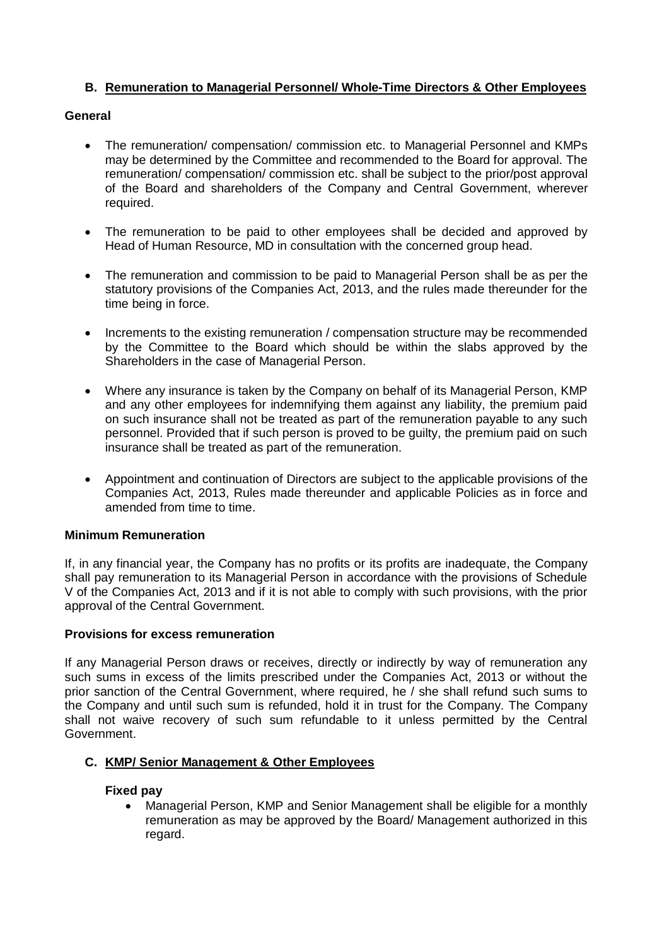# **B. Remuneration to Managerial Personnel/ Whole-Time Directors & Other Employees**

# **General**

- The remuneration/ compensation/ commission etc. to Managerial Personnel and KMPs may be determined by the Committee and recommended to the Board for approval. The remuneration/ compensation/ commission etc. shall be subject to the prior/post approval of the Board and shareholders of the Company and Central Government, wherever required.
- The remuneration to be paid to other employees shall be decided and approved by Head of Human Resource, MD in consultation with the concerned group head.
- The remuneration and commission to be paid to Managerial Person shall be as per the statutory provisions of the Companies Act, 2013, and the rules made thereunder for the time being in force.
- Increments to the existing remuneration / compensation structure may be recommended by the Committee to the Board which should be within the slabs approved by the Shareholders in the case of Managerial Person.
- Where any insurance is taken by the Company on behalf of its Managerial Person, KMP and any other employees for indemnifying them against any liability, the premium paid on such insurance shall not be treated as part of the remuneration payable to any such personnel. Provided that if such person is proved to be guilty, the premium paid on such insurance shall be treated as part of the remuneration.
- Appointment and continuation of Directors are subject to the applicable provisions of the Companies Act, 2013, Rules made thereunder and applicable Policies as in force and amended from time to time.

## **Minimum Remuneration**

If, in any financial year, the Company has no profits or its profits are inadequate, the Company shall pay remuneration to its Managerial Person in accordance with the provisions of Schedule V of the Companies Act, 2013 and if it is not able to comply with such provisions, with the prior approval of the Central Government.

## **Provisions for excess remuneration**

If any Managerial Person draws or receives, directly or indirectly by way of remuneration any such sums in excess of the limits prescribed under the Companies Act, 2013 or without the prior sanction of the Central Government, where required, he / she shall refund such sums to the Company and until such sum is refunded, hold it in trust for the Company. The Company shall not waive recovery of such sum refundable to it unless permitted by the Central Government.

## **C. KMP/ Senior Management & Other Employees**

## **Fixed pay**

 Managerial Person, KMP and Senior Management shall be eligible for a monthly remuneration as may be approved by the Board/ Management authorized in this regard.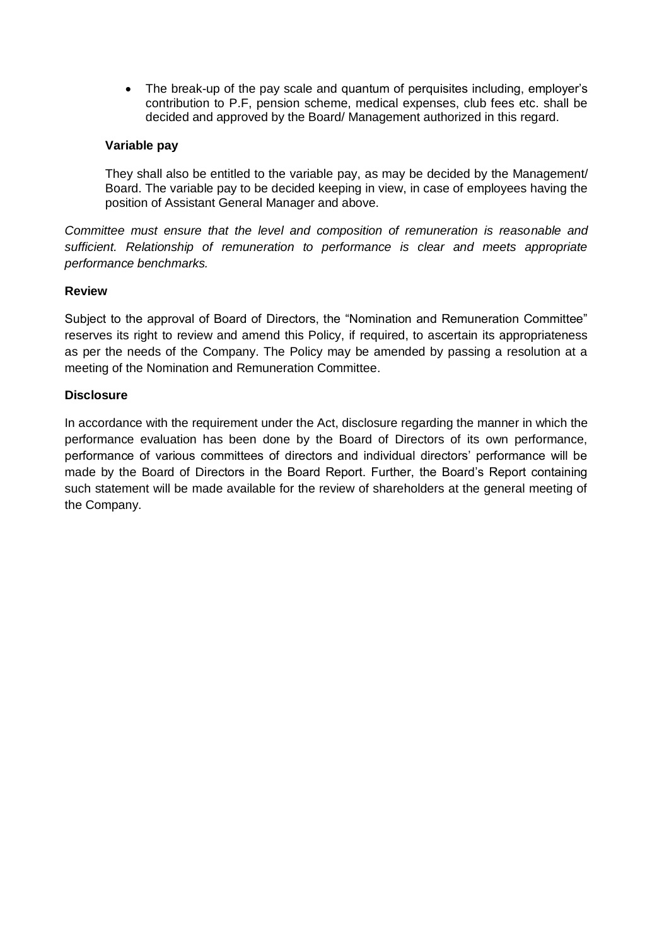• The break-up of the pay scale and quantum of perquisites including, employer's contribution to P.F, pension scheme, medical expenses, club fees etc. shall be decided and approved by the Board/ Management authorized in this regard.

# **Variable pay**

They shall also be entitled to the variable pay, as may be decided by the Management/ Board. The variable pay to be decided keeping in view, in case of employees having the position of Assistant General Manager and above.

*Committee must ensure that the level and composition of remuneration is reasonable and sufficient. Relationship of remuneration to performance is clear and meets appropriate performance benchmarks.*

## **Review**

Subject to the approval of Board of Directors, the "Nomination and Remuneration Committee" reserves its right to review and amend this Policy, if required, to ascertain its appropriateness as per the needs of the Company. The Policy may be amended by passing a resolution at a meeting of the Nomination and Remuneration Committee.

# **Disclosure**

In accordance with the requirement under the Act, disclosure regarding the manner in which the performance evaluation has been done by the Board of Directors of its own performance, performance of various committees of directors and individual directors' performance will be made by the Board of Directors in the Board Report. Further, the Board's Report containing such statement will be made available for the review of shareholders at the general meeting of the Company.